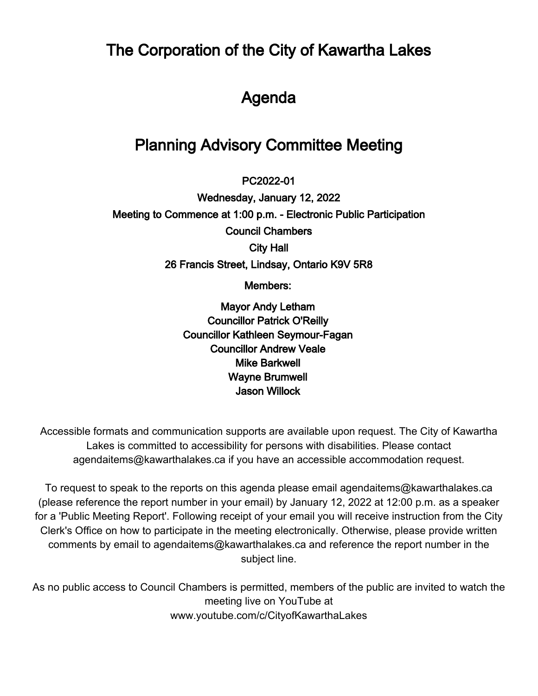The Corporation of the City of Kawartha Lakes

## Agenda

## Planning Advisory Committee Meeting

 $\overline{\phantom{a}}$ PC2022-01

Wednesday, January 12, 2022 Meeting to Commence at 1:00 p.m. - Electronic Public Participation Council Chambers City Hall 26 Francis Street, Lindsay, Ontario K9V 5R8

Members:

Mayor Andy Letham Councillor Patrick O'Reilly Councillor Kathleen Seymour-Fagan Councillor Andrew Veale Mike Barkwell Wayne Brumwell Jason Willock

Accessible formats and communication supports are available upon request. The City of Kawartha Lakes is committed to accessibility for persons with disabilities. Please contact agendaitems@kawarthalakes.ca if you have an accessible accommodation request.

To request to speak to the reports on this agenda please email agendaitems@kawarthalakes.ca (please reference the report number in your email) by January 12, 2022 at 12:00 p.m. as a speaker for a 'Public Meeting Report'. Following receipt of your email you will receive instruction from the City Clerk's Office on how to participate in the meeting electronically. Otherwise, please provide written comments by email to agendaitems@kawarthalakes.ca and reference the report number in the subject line.

As no public access to Council Chambers is permitted, members of the public are invited to watch the meeting live on YouTube at www.youtube.com/c/CityofKawarthaLakes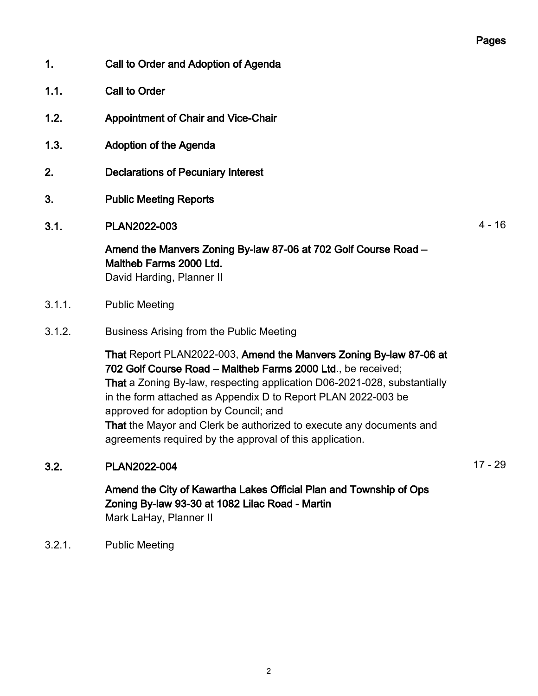## Pages

- 1. Call to Order and Adoption of Agenda
- 1.1. Call to Order
- 1.2. Appointment of Chair and Vice-Chair
- 1.3. Adoption of the Agenda
- 2. Declarations of Pecuniary Interest
- 3. Public Meeting Reports
- 3.1. PLAN2022-003 4 16

Amend the Manvers Zoning By-law 87-06 at 702 Golf Course Road – Maltheb Farms 2000 Ltd.

David Harding, Planner II

- 3.1.1. Public Meeting
- 3.1.2. Business Arising from the Public Meeting

That Report PLAN2022-003, Amend the Manvers Zoning By-law 87-06 at 702 Golf Course Road – Maltheb Farms 2000 Ltd., be received; That a Zoning By-law, respecting application D06-2021-028, substantially in the form attached as Appendix D to Report PLAN 2022-003 be approved for adoption by Council; and That the Mayor and Clerk be authorized to execute any documents and agreements required by the approval of this application.

## 3.2. PLAN2022-004 17 - 29

Amend the City of Kawartha Lakes Official Plan and Township of Ops Zoning By-law 93-30 at 1082 Lilac Road - Martin Mark LaHay, Planner II

3.2.1. Public Meeting